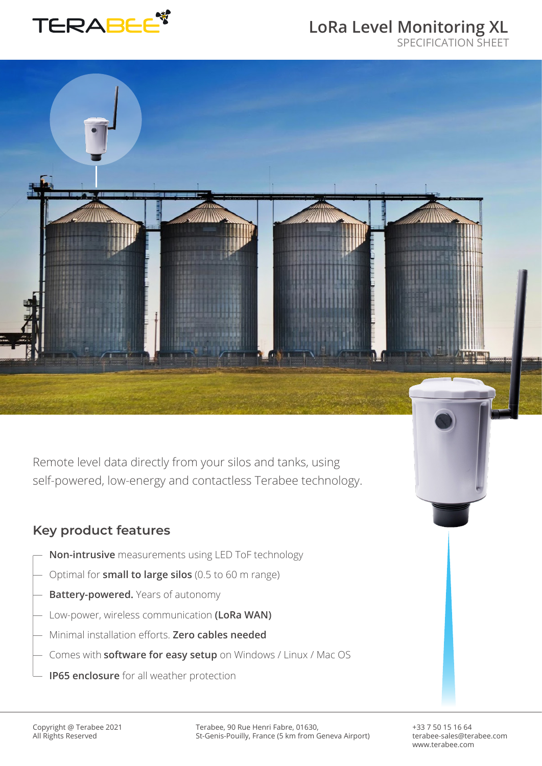

# **LoRa Level Monitoring XL**

SPECIFICATION SHEET



#### **Key product features**

- Non-intrusive measurements using LED ToF technology
- ― Optimal for **small to large silos** (0.5 to 60 m range)
- ― **Battery-powered.** Years of autonomy
- ― Low-power, wireless communication **(LoRa WAN)**
- ― Minimal installation efforts. **Zero cables needed**
- ― Comes with **software for easy setup** on Windows / Linux / Mac OS
- ― **IP65 enclosure** for all weather protection

Terabee, 90 Rue Henri Fabre, 01630, St-Genis-Pouilly, France (5 km from Geneva Airport) +33 7 50 15 16 64 terabee-sales@terabee.com www.terabee.com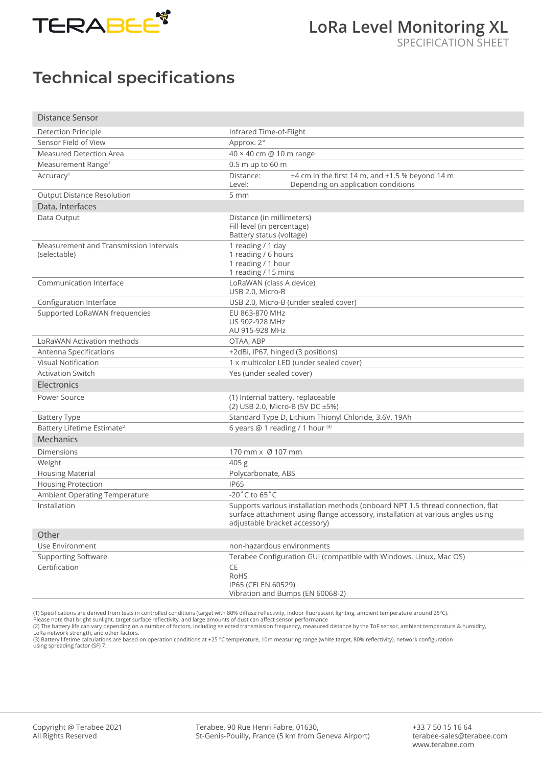

## **Technical specifications**

| <b>Distance Sensor</b>                                 |                                                                                       |                                                                                                                                                                   |
|--------------------------------------------------------|---------------------------------------------------------------------------------------|-------------------------------------------------------------------------------------------------------------------------------------------------------------------|
| Detection Principle                                    | Infrared Time-of-Flight                                                               |                                                                                                                                                                   |
| Sensor Field of View                                   | Approx. 2°                                                                            |                                                                                                                                                                   |
| <b>Measured Detection Area</b>                         | 40 × 40 cm @ 10 m range                                                               |                                                                                                                                                                   |
| Measurement Range <sup>1</sup>                         | 0.5 m up to 60 m                                                                      |                                                                                                                                                                   |
| Accuracy <sup>1</sup>                                  | Distance:<br>Level:                                                                   | $±4$ cm in the first 14 m, and $±1.5$ % beyond 14 m<br>Depending on application conditions                                                                        |
| <b>Output Distance Resolution</b>                      | 5 mm                                                                                  |                                                                                                                                                                   |
| Data, Interfaces                                       |                                                                                       |                                                                                                                                                                   |
| Data Output                                            | Distance (in millimeters)<br>Fill level (in percentage)<br>Battery status (voltage)   |                                                                                                                                                                   |
| Measurement and Transmission Intervals<br>(selectable) | 1 reading / 1 day<br>1 reading / 6 hours<br>1 reading / 1 hour<br>1 reading / 15 mins |                                                                                                                                                                   |
| Communication Interface                                | LoRaWAN (class A device)<br>USB 2.0, Micro-B                                          |                                                                                                                                                                   |
| Configuration Interface                                | USB 2.0, Micro-B (under sealed cover)                                                 |                                                                                                                                                                   |
| Supported LoRaWAN frequencies                          | EU 863-870 MHz<br>US 902-928 MHz<br>AU 915-928 MHz                                    |                                                                                                                                                                   |
| <b>LoRaWAN Activation methods</b>                      | OTAA, ABP                                                                             |                                                                                                                                                                   |
| Antenna Specifications                                 | +2dBi, IP67, hinged (3 positions)                                                     |                                                                                                                                                                   |
| <b>Visual Notification</b>                             | 1 x multicolor LED (under sealed cover)                                               |                                                                                                                                                                   |
| <b>Activation Switch</b>                               | Yes (under sealed cover)                                                              |                                                                                                                                                                   |
| Electronics                                            |                                                                                       |                                                                                                                                                                   |
| Power Source                                           | (1) Internal battery, replaceable                                                     | (2) USB 2.0, Micro-B (5V DC ±5%)                                                                                                                                  |
| <b>Battery Type</b>                                    | Standard Type D, Lithium Thionyl Chloride, 3.6V, 19Ah                                 |                                                                                                                                                                   |
| Battery Lifetime Estimate <sup>2</sup>                 | 6 years @ 1 reading / 1 hour (3)                                                      |                                                                                                                                                                   |
| Mechanics                                              |                                                                                       |                                                                                                                                                                   |
| Dimensions                                             | 170 mm x Ø 107 mm                                                                     |                                                                                                                                                                   |
| Weight                                                 | 405 g                                                                                 |                                                                                                                                                                   |
| <b>Housing Material</b>                                | Polycarbonate, ABS                                                                    |                                                                                                                                                                   |
| <b>Housing Protection</b>                              | <b>IP65</b>                                                                           |                                                                                                                                                                   |
| Ambient Operating Temperature                          | -20°C to 65°C                                                                         |                                                                                                                                                                   |
| Installation                                           | adjustable bracket accessory)                                                         | Supports various installation methods (onboard NPT 1.5 thread connection, flat<br>surface attachment using flange accessory, installation at various angles using |
| Other                                                  |                                                                                       |                                                                                                                                                                   |
| Use Environment                                        | non-hazardous environments                                                            |                                                                                                                                                                   |
| <b>Supporting Software</b>                             | Terabee Configuration GUI (compatible with Windows, Linux, Mac OS)                    |                                                                                                                                                                   |
| Certification                                          | CE<br>RoHS<br>IP65 (CEI EN 60529)                                                     | Vibration and Bumps (EN 60068-2)                                                                                                                                  |

(1) Specifications are derived from tests in controlled conditions (target with 80% diffuse reflectivity, indoor fluorescent lighting, ambient temperature around 25°C).

Please note that bright sunlight, target surface reflectivity, and large amounts of dust can affect sensor performance<br>(2) The battery life can vary depending on a number of factors, including selected transmission frequen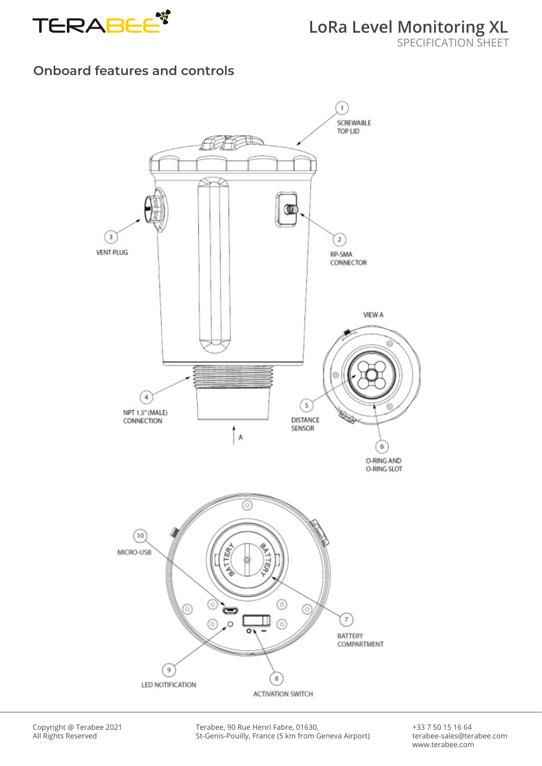

#### **Onboard features and controls**